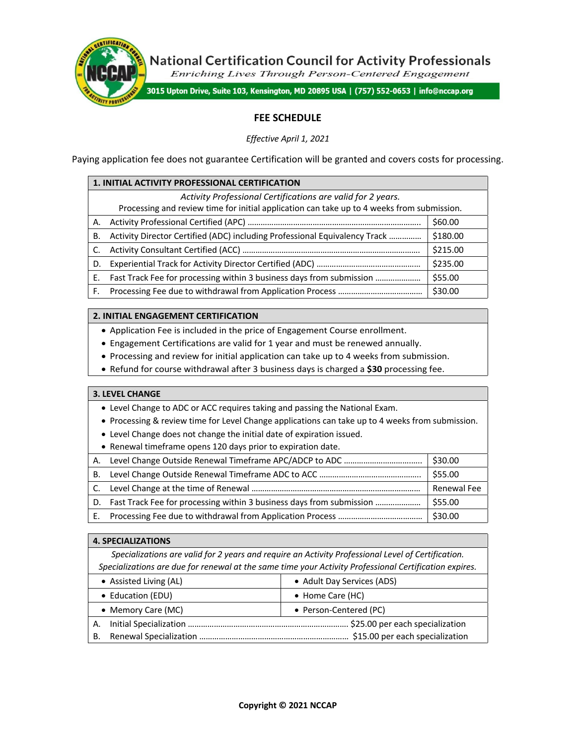

**National Certification Council for Activity Professionals** 

Enriching Lives Through Person-Centered Engagement

3015 Upton Drive, Suite 103, Kensington, MD 20895 USA | (757) 552-0653 | info@nccap.org

# **FEE SCHEDULE**

*Effective April 1, 2021*

Paying application fee does not guarantee Certification will be granted and covers costs for processing.

| <b>1. INITIAL ACTIVITY PROFESSIONAL CERTIFICATION</b> |                                                                                            |          |  |
|-------------------------------------------------------|--------------------------------------------------------------------------------------------|----------|--|
|                                                       | Activity Professional Certifications are valid for 2 years.                                |          |  |
|                                                       | Processing and review time for initial application can take up to 4 weeks from submission. |          |  |
| А.                                                    |                                                                                            | \$60.00  |  |
| В.                                                    | Activity Director Certified (ADC) including Professional Equivalency Track                 | \$180.00 |  |
| C.                                                    |                                                                                            | \$215.00 |  |
| D.                                                    |                                                                                            | \$235.00 |  |
|                                                       | E. Fast Track Fee for processing within 3 business days from submission                    | \$55.00  |  |
| F.,                                                   |                                                                                            | \$30.00  |  |

## **2. INITIAL ENGAGEMENT CERTIFICATION**

- Application Fee is included in the price of Engagement Course enrollment.
- Engagement Certifications are valid for 1 year and must be renewed annually.
- Processing and review for initial application can take up to 4 weeks from submission.
- Refund for course withdrawal after 3 business days is charged a **\$30** processing fee.

#### **3. LEVEL CHANGE**

- Level Change to ADC or ACC requires taking and passing the National Exam.
- Processing & review time for Level Change applications can take up to 4 weeks from submission.
- Level Change does not change the initial date of expiration issued.
- Renewal timeframe opens 120 days prior to expiration date.

|    |                                                                         | \$30.00     |
|----|-------------------------------------------------------------------------|-------------|
|    |                                                                         | \$55.00     |
|    |                                                                         | Renewal Fee |
|    | D. Fast Track Fee for processing within 3 business days from submission | \$55.00     |
| F. |                                                                         | \$30.00     |

#### **4. SPECIALIZATIONS**

*Specializations are valid for 2 years and require an Activity Professional Level of Certification. Specializations are due for renewal at the same time your Activity Professional Certification expires.*

| • Assisted Living (AL) | • Adult Day Services (ADS) |  |
|------------------------|----------------------------|--|
| • Education (EDU)      | • Home Care (HC)           |  |
| • Memory Care (MC)     | • Person-Centered (PC)     |  |
| A.                     |                            |  |
| В.                     |                            |  |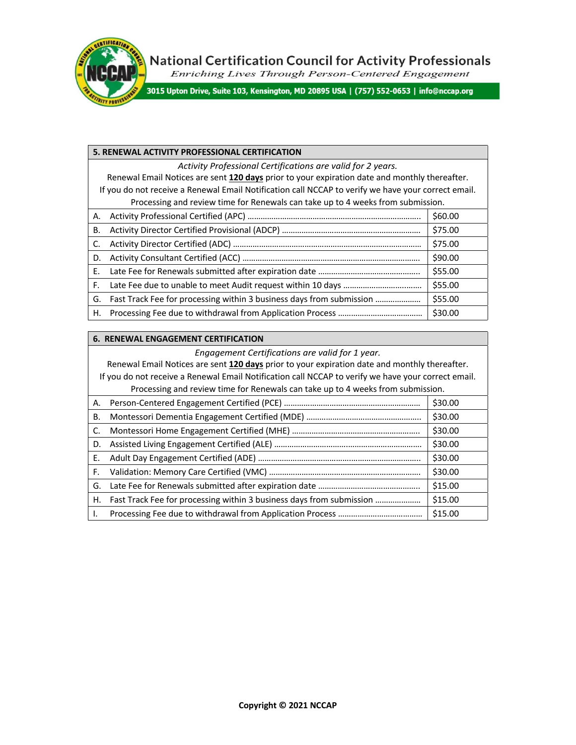

**National Certification Council for Activity Professionals** 

Enriching Lives Through Person-Centered Engagement

3015 Upton Drive, Suite 103, Kensington, MD 20895 USA | (757) 552-0653 | info@nccap.org

#### **5. RENEWAL ACTIVITY PROFESSIONAL CERTIFICATION**

*Activity Professional Certifications are valid for 2 years.*

Renewal Email Notices are sent **120 days** prior to your expiration date and monthly thereafter. If you do not receive a Renewal Email Notification call NCCAP to verify we have your correct email.

| Processing and review time for Renewals can take up to 4 weeks from submission. |  |  |
|---------------------------------------------------------------------------------|--|--|
|                                                                                 |  |  |

| А. |                                                                         | \$60.00 |
|----|-------------------------------------------------------------------------|---------|
| В. |                                                                         | \$75.00 |
|    |                                                                         | \$75.00 |
| D. |                                                                         | \$90.00 |
| Е. |                                                                         | \$55.00 |
| E. |                                                                         | \$55.00 |
|    | G. Fast Track Fee for processing within 3 business days from submission | \$55.00 |
| Н. |                                                                         | \$30.00 |

## **6. RENEWAL ENGAGEMENT CERTIFICATION**

*Engagement Certifications are valid for 1 year.*

Renewal Email Notices are sent **120 days** prior to your expiration date and monthly thereafter. If you do not receive a Renewal Email Notification call NCCAP to verify we have your correct email.

| Processing and review time for Renewals can take up to 4 weeks from submission. |  |  |  |
|---------------------------------------------------------------------------------|--|--|--|
|                                                                                 |  |  |  |
|                                                                                 |  |  |  |

| А.   |                                                                      | \$30.00 |
|------|----------------------------------------------------------------------|---------|
| В.   |                                                                      | \$30.00 |
| C.   |                                                                      | \$30.00 |
| D.   |                                                                      | \$30.00 |
| Е.   |                                                                      | \$30.00 |
| E.   |                                                                      | \$30.00 |
| G.   |                                                                      | \$15.00 |
| Н.   | Fast Track Fee for processing within 3 business days from submission | \$15.00 |
| l I. |                                                                      | \$15.00 |